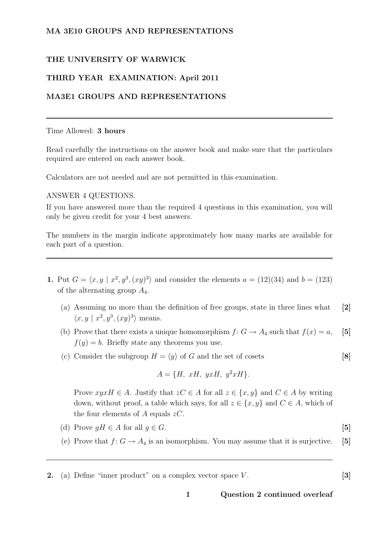## MA 3E10 GROUPS AND REPRESENTATIONS

## THE UNIVERSITY OF WARWICK

## THIRD YEAR EXAMINATION: April 2011

## MA3E1 GROUPS AND REPRESENTATIONS

#### Time Allowed: 3 hours

Read carefully the instructions on the answer book and make sure that the particulars required are entered on each answer book.

Calculators are not needed and are not permitted in this examination.

#### ANSWER 4 QUESTIONS.

If you have answered more than the required 4 questions in this examination, you will only be given credit for your 4 best answers.

The numbers in the margin indicate approximately how many marks are available for each part of a question.

- **1.** Put  $G = \langle x, y | x^2, y^3, (xy)^3 \rangle$  and consider the elements  $a = (12)(34)$  and  $b = (123)$ of the alternating group  $A_4$ .
	- (a) Assuming no more than the definition of free groups, state in three lines what [2]  $\langle x, y | x^2, y^3, (xy)^3 \rangle$  means.
	- (b) Prove that there exists a unique homomorphism  $f: G \to A_4$  such that  $f(x) = a$ , [5]  $f(y) = b$ . Briefly state any theorems you use.
	- (c) Consider the subgroup  $H = \langle y \rangle$  of G and the set of cosets [8]

$$
A = \{H, xH, yxH, y^2xH\}.
$$

Prove  $xyxH \in A$ . Justify that  $zC \in A$  for all  $z \in \{x, y\}$  and  $C \in A$  by writing down, without proof, a table which says, for all  $z \in \{x, y\}$  and  $C \in A$ , which of the four elements of A equals  $zC$ .

- (d) Prove  $qH \in A$  for all  $q \in G$ . [5]
- (e) Prove that  $f: G \to A_4$  is an isomorphism. You may assume that it is surjective. [5]
- **2.** (a) Define "inner product" on a complex vector space  $V$ .  $[3]$

1 Question 2 continued overleaf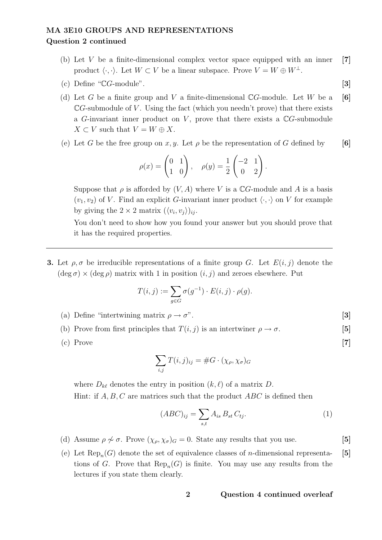## MA 3E10 GROUPS AND REPRESENTATIONS Question 2 continued

- (b) Let  $V$  be a finite-dimensional complex vector space equipped with an inner [7] product  $\langle \cdot, \cdot \rangle$ . Let  $W \subset V$  be a linear subspace. Prove  $V = W \oplus W^{\perp}$ .
- (c) Define " $\mathbb{C}G$ -module". [3]
- (d) Let G be a finite group and V a finite-dimensional  $\mathbb{C}G$ -module. Let W be a [6]  $\mathbb{C}G$ -submodule of V. Using the fact (which you needn't prove) that there exists a G-invariant inner product on V, prove that there exists a  $\mathbb{C}G$ -submodule  $X \subset V$  such that  $V = W \oplus X$ .
- (e) Let G be the free group on x, y. Let  $\rho$  be the representation of G defined by [6]

$$
\rho(x) = \begin{pmatrix} 0 & 1 \\ 1 & 0 \end{pmatrix}, \quad \rho(y) = \frac{1}{2} \begin{pmatrix} -2 & 1 \\ 0 & 2 \end{pmatrix}.
$$

Suppose that  $\rho$  is afforded by  $(V, A)$  where V is a CG-module and A is a basis  $(v_1, v_2)$  of V. Find an explicit G-invariant inner product  $\langle \cdot, \cdot \rangle$  on V for example by giving the  $2 \times 2$  matrix  $(\langle v_i, v_j \rangle)_{ij}$ .

You don't need to show how you found your answer but you should prove that it has the required properties.

**3.** Let  $\rho, \sigma$  be irreducible representations of a finite group G. Let  $E(i, j)$  denote the  $(\deg \sigma) \times (\deg \rho)$  matrix with 1 in position  $(i, j)$  and zeroes elsewhere. Put

$$
T(i,j) := \sum_{g \in G} \sigma(g^{-1}) \cdot E(i,j) \cdot \rho(g).
$$

- (a) Define "intertwining matrix  $\rho \to \sigma$ ". [3]
- (b) Prove from first principles that  $T(i, j)$  is an intertwiner  $\rho \to \sigma$ . [5]
- $(c)$  Prove [7]

$$
\sum_{i,j} T(i,j)_{ij} = \#G \cdot (\chi_{\rho}, \chi_{\sigma})_G
$$

where  $D_{k\ell}$  denotes the entry in position  $(k, \ell)$  of a matrix D. Hint: if  $A, B, C$  are matrices such that the product  $ABC$  is defined then

$$
(ABC)_{ij} = \sum_{s,t} A_{is} B_{st} C_{tj}.
$$
 (1)

- (d) Assume  $\rho \nsim \sigma$ . Prove  $(\chi_{\rho}, \chi_{\sigma})_G = 0$ . State any results that you use. [5]
- (e) Let  $\text{Rep}_n(G)$  denote the set of equivalence classes of *n*-dimensional representa- [5] tions of G. Prove that  $\text{Rep}_n(G)$  is finite. You may use any results from the lectures if you state them clearly.

#### 2 Question 4 continued overleaf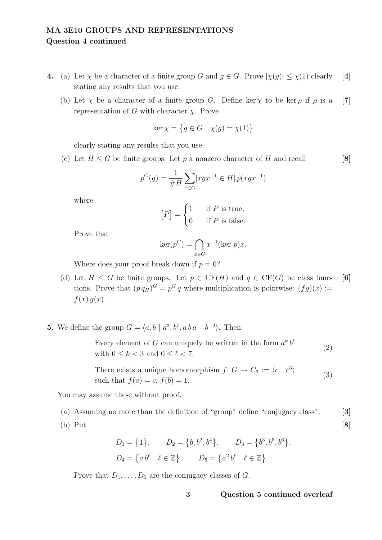## MA 3E10 GROUPS AND REPRESENTATIONS Question 4 continued

- 4. (a) Let  $\chi$  be a character of a finite group G and  $g \in G$ . Prove  $|\chi(g)| \leq \chi(1)$  clearly [4] stating any results that you use.
	- (b) Let  $\chi$  be a character of a finite group G. Define ker  $\chi$  to be ker  $\rho$  if  $\rho$  is a [7] representation of G with character χ. Prove

$$
\ker \chi = \{ g \in G \mid \chi(g) = \chi(1) \}
$$

clearly stating any results that you use.

(c) Let  $H \leq G$  be finite groups. Let p a nonzero character of H and recall [8]

$$
p^{G}(g) = \frac{1}{\#H} \sum_{x \in G} [xgx^{-1} \in H] p(xgx^{-1})
$$

where

$$
[P] = \begin{cases} 1 & \text{if } P \text{ is true,} \\ 0 & \text{if } P \text{ is false.} \end{cases}
$$

Prove that

$$
\ker(p^G) = \bigcap_{x \in G} x^{-1}(\ker p)x.
$$

Where does your proof break down if  $p = 0$ ?

- (d) Let  $H \leq G$  be finite groups. Let  $p \in \mathrm{CF}(H)$  and  $q \in \mathrm{CF}(G)$  be class func- [6] tions. Prove that  $(p q_H)^G = p^G q$  where multiplication is pointwise:  $(fg)(x) :=$  $f(x) g(x)$ .
- **5.** We define the group  $G = \langle a, b \mid a^3, b^7, a \cdot b a^{-1} b^{-2} \rangle$ . Then:

Every element of G can uniquely be written in the form  $a^k b^{\ell}$ with  $0 \leq k < 3$  and  $0 \leq \ell < 7$ . (2)

There exists a unique homomorphism  $f: G \to C_3 := \langle c \mid c^3 \rangle$ such that  $f(a) = c$ ,  $f(b) = 1$ . (3)

You may assume these without proof.

(a) Assuming no more than the definition of "group" define "conjugacy class". [3]

(b) Put [8]

$$
D_1 = \{1\}, \qquad D_2 = \{b, b^2, b^4\}, \qquad D_3 = \{b^3, b^5, b^6\},
$$

$$
D_4 = \{a b^{\ell} \mid \ell \in \mathbb{Z}\}, \qquad D_5 = \{a^2 b^{\ell} \mid \ell \in \mathbb{Z}\}.
$$

Prove that  $D_1, \ldots, D_5$  are the conjugacy classes of G.

3 Question 5 continued overleaf